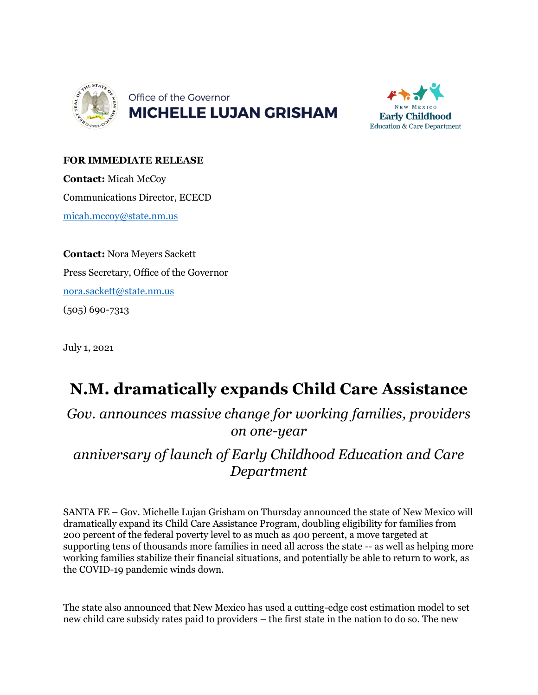



## **FOR IMMEDIATE RELEASE**

**Contact:** Micah McCoy Communications Director, ECECD [micah.mccoy@state.nm.us](mailto:micah.mccoy@state.nm.us)

**Contact:** Nora Meyers Sackett Press Secretary, Office of the Governor [nora.sackett@state.nm.us](mailto:nora.sackett@state.nm.us) (505) 690-7313

July 1, 2021

## **N.M. dramatically expands Child Care Assistance**

*Gov. announces massive change for working families, providers on one-year* 

*anniversary of launch of Early Childhood Education and Care Department*

SANTA FE – Gov. Michelle Lujan Grisham on Thursday announced the state of New Mexico will dramatically expand its Child Care Assistance Program, doubling eligibility for families from 200 percent of the federal poverty level to as much as 400 percent, a move targeted at supporting tens of thousands more families in need all across the state -- as well as helping more working families stabilize their financial situations, and potentially be able to return to work, as the COVID-19 pandemic winds down.

The state also announced that New Mexico has used a cutting-edge cost estimation model to set new child care subsidy rates paid to providers – the first state in the nation to do so. The new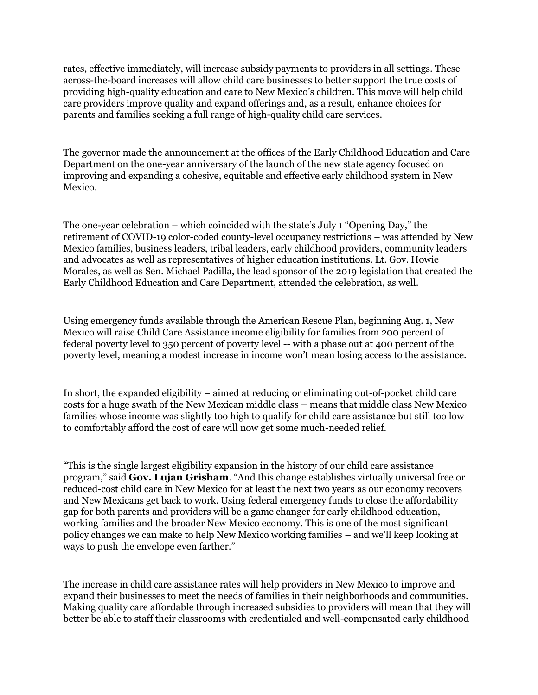rates, effective immediately, will increase subsidy payments to providers in all settings. These across-the-board increases will allow child care businesses to better support the true costs of providing high-quality education and care to New Mexico's children. This move will help child care providers improve quality and expand offerings and, as a result, enhance choices for parents and families seeking a full range of high-quality child care services.

The governor made the announcement at the offices of the Early Childhood Education and Care Department on the one-year anniversary of the launch of the new state agency focused on improving and expanding a cohesive, equitable and effective early childhood system in New Mexico.

The one-year celebration – which coincided with the state's July 1 "Opening Day," the retirement of COVID-19 color-coded county-level occupancy restrictions – was attended by New Mexico families, business leaders, tribal leaders, early childhood providers, community leaders and advocates as well as representatives of higher education institutions. Lt. Gov. Howie Morales, as well as Sen. Michael Padilla, the lead sponsor of the 2019 legislation that created the Early Childhood Education and Care Department, attended the celebration, as well.

Using emergency funds available through the American Rescue Plan, beginning Aug. 1, New Mexico will raise Child Care Assistance income eligibility for families from 200 percent of federal poverty level to 350 percent of poverty level -- with a phase out at 400 percent of the poverty level, meaning a modest increase in income won't mean losing access to the assistance.

In short, the expanded eligibility – aimed at reducing or eliminating out-of-pocket child care costs for a huge swath of the New Mexican middle class – means that middle class New Mexico families whose income was slightly too high to qualify for child care assistance but still too low to comfortably afford the cost of care will now get some much-needed relief.

"This is the single largest eligibility expansion in the history of our child care assistance program," said **Gov. Lujan Grisham**. "And this change establishes virtually universal free or reduced-cost child care in New Mexico for at least the next two years as our economy recovers and New Mexicans get back to work. Using federal emergency funds to close the affordability gap for both parents and providers will be a game changer for early childhood education, working families and the broader New Mexico economy. This is one of the most significant policy changes we can make to help New Mexico working families – and we'll keep looking at ways to push the envelope even farther."

The increase in child care assistance rates will help providers in New Mexico to improve and expand their businesses to meet the needs of families in their neighborhoods and communities. Making quality care affordable through increased subsidies to providers will mean that they will better be able to staff their classrooms with credentialed and well-compensated early childhood